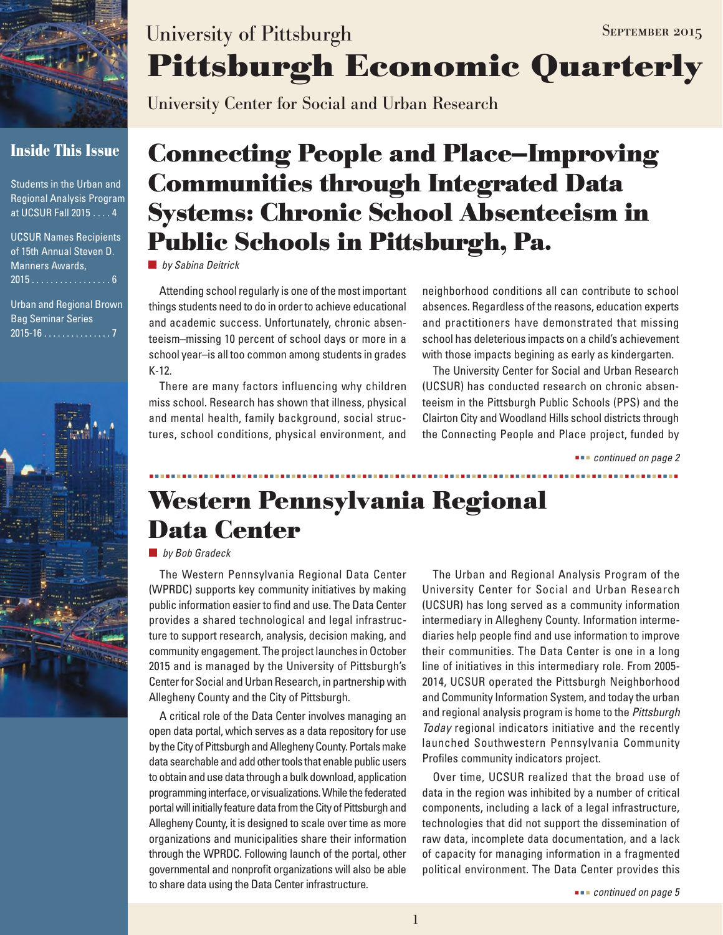

# **Inside This Issue**

Students in the Urban and Regional Analysis Program at UCSUR Fall 2015 . . . . 4

| <b>UCSUR Names Recipients</b> |  |  |  |  |  |
|-------------------------------|--|--|--|--|--|
| of 15th Annual Steven D.      |  |  |  |  |  |
| <b>Manners Awards,</b>        |  |  |  |  |  |
| <u>2015 6</u>                 |  |  |  |  |  |

Urban and Regional Brown Bag Seminar Series  $2015 - 16$  . . . . . . . . . . . . . . 7



# **Pittsburgh Economic Quarterly** University of Pittsburgh SEPTEMBER 2015

University Center for Social and Urban Research

# **Connecting People and Place—Improving Communities through Integrated Data Systems: Chronic School Absenteeism in Public Schools in Pittsburgh, Pa.**

*by Sabina Deitrick*

Attending school regularly is one of the most important things students need to do in order to achieve educational and academic success. Unfortunately, chronic absenteeism–missing 10 percent of school days or more in a school year–is all too common among students in grades K-12.

There are many factors influencing why children miss school. Research has shown that illness, physical and mental health, family background, social structures, school conditions, physical environment, and neighborhood conditions all can contribute to school absences. Regardless of the reasons, education experts and practitioners have demonstrated that missing school has deleterious impacts on a child's achievement with those impacts begining as early as kindergarten.

The University Center for Social and Urban Research (UCSUR) has conducted research on chronic absenteeism in the Pittsburgh Public Schools (PPS) and the Clairton City and Woodland Hills school districts through the Connecting People and Place project, funded by

 *continued on page 2*

# **Western Pennsylvania Regional Data Center**

### *by Bob Gradeck*

The Western Pennsylvania Regional Data Center (WPRDC) supports key community initiatives by making public information easier to find and use. The Data Center provides a shared technological and legal infrastructure to support research, analysis, decision making, and community engagement. The project launches in October 2015 and is managed by the University of Pittsburgh's Center for Social and Urban Research, in partnership with Allegheny County and the City of Pittsburgh.

A critical role of the Data Center involves managing an open data portal, which serves as a data repository for use by the City of Pittsburgh and Allegheny County. Portals make data searchable and add other tools that enable public users to obtain and use data through a bulk download, application programming interface, or visualizations. While the federated portal will initially feature data from the City of Pittsburgh and Allegheny County, it is designed to scale over time as more organizations and municipalities share their information through the WPRDC. Following launch of the portal, other governmental and nonprofit organizations will also be able to share data using the Data Center infrastructure.

The Urban and Regional Analysis Program of the University Center for Social and Urban Research (UCSUR) has long served as a community information intermediary in Allegheny County. Information intermediaries help people find and use information to improve their communities. The Data Center is one in a long line of initiatives in this intermediary role. From 2005- 2014, UCSUR operated the Pittsburgh Neighborhood and Community Information System, and today the urban and regional analysis program is home to the *Pittsburgh Today* regional indicators initiative and the recently launched Southwestern Pennsylvania Community Profiles community indicators project.

Over time, UCSUR realized that the broad use of data in the region was inhibited by a number of critical components, including a lack of a legal infrastructure, technologies that did not support the dissemination of raw data, incomplete data documentation, and a lack of capacity for managing information in a fragmented political environment. The Data Center provides this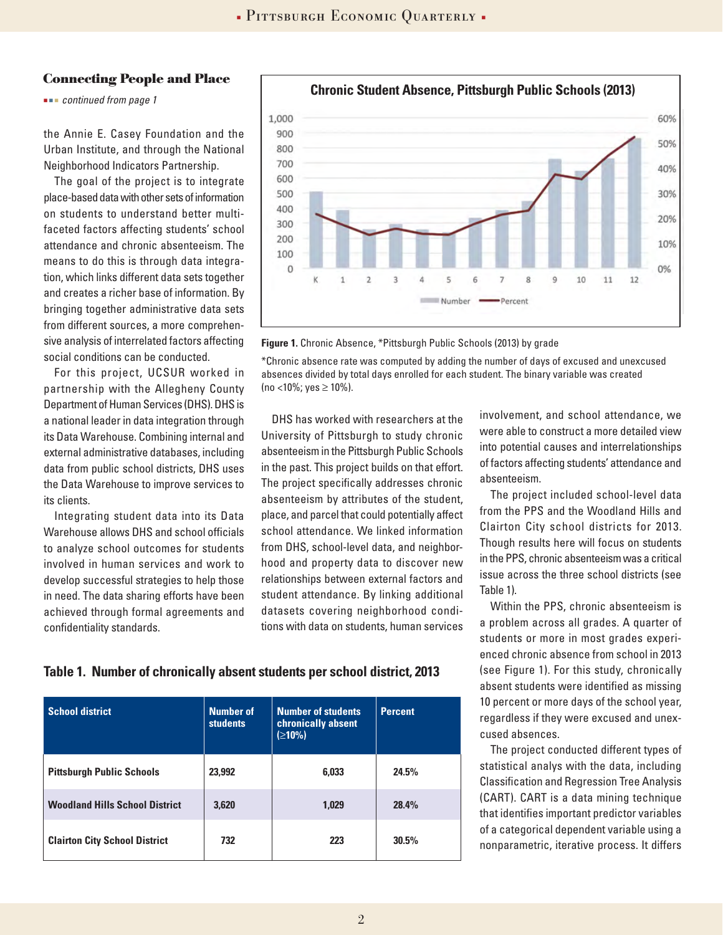#### **Connecting People and Place**

 *continued from page 1*

the Annie E. Casey Foundation and the Urban Institute, and through the National Neighborhood Indicators Partnership.

The goal of the project is to integrate place-based data with other sets of information on students to understand better multifaceted factors affecting students' school attendance and chronic absenteeism. The means to do this is through data integration, which links different data sets together and creates a richer base of information. By bringing together administrative data sets from different sources, a more comprehensive analysis of interrelated factors affecting social conditions can be conducted.

For this project, UCSUR worked in partnership with the Allegheny County Department of Human Services (DHS). DHS is a national leader in data integration through its Data Warehouse. Combining internal and external administrative databases, including data from public school districts, DHS uses the Data Warehouse to improve services to its clients.

Integrating student data into its Data Warehouse allows DHS and school officials to analyze school outcomes for students involved in human services and work to develop successful strategies to help those in need. The data sharing efforts have been achieved through formal agreements and confidentiality standards.

![](_page_1_Figure_7.jpeg)

![](_page_1_Figure_8.jpeg)

\*Chronic absence rate was computed by adding the number of days of excused and unexcused absences divided by total days enrolled for each student. The binary variable was created (no <10%; yes  $\geq$  10%).

DHS has worked with researchers at the University of Pittsburgh to study chronic absenteeism in the Pittsburgh Public Schools in the past. This project builds on that effort. The project specifically addresses chronic absenteeism by attributes of the student, place, and parcel that could potentially affect school attendance. We linked information from DHS, school-level data, and neighborhood and property data to discover new relationships between external factors and student attendance. By linking additional datasets covering neighborhood conditions with data on students, human services involvement, and school attendance, we were able to construct a more detailed view into potential causes and interrelationships of factors affecting students' attendance and absenteeism.

The project included school-level data from the PPS and the Woodland Hills and Clairton City school districts for 2013. Though results here will focus on students in the PPS, chronic absenteeism was a critical issue across the three school districts (see Table 1).

Within the PPS, chronic absenteeism is a problem across all grades. A quarter of students or more in most grades experienced chronic absence from school in 2013 (see Figure 1). For this study, chronically absent students were identified as missing 10 percent or more days of the school year, regardless if they were excused and unexcused absences.

The project conducted different types of statistical analys with the data, including Classification and Regression Tree Analysis (CART). CART is a data mining technique that identifies important predictor variables of a categorical dependent variable using a nonparametric, iterative process. It differs

### **Table 1. Number of chronically absent students per school district, 2013**

| <b>School district</b>                | <b>Number of</b><br><b>students</b> | <b>Number of students</b><br>chronically absent<br>(≥10%) | <b>Percent</b> |
|---------------------------------------|-------------------------------------|-----------------------------------------------------------|----------------|
| <b>Pittsburgh Public Schools</b>      | 23,992                              | 6.033                                                     | 24.5%          |
| <b>Woodland Hills School District</b> | 3,620                               | 1.029                                                     | 28.4%          |
| <b>Clairton City School District</b>  | 732                                 | 223                                                       | 30.5%          |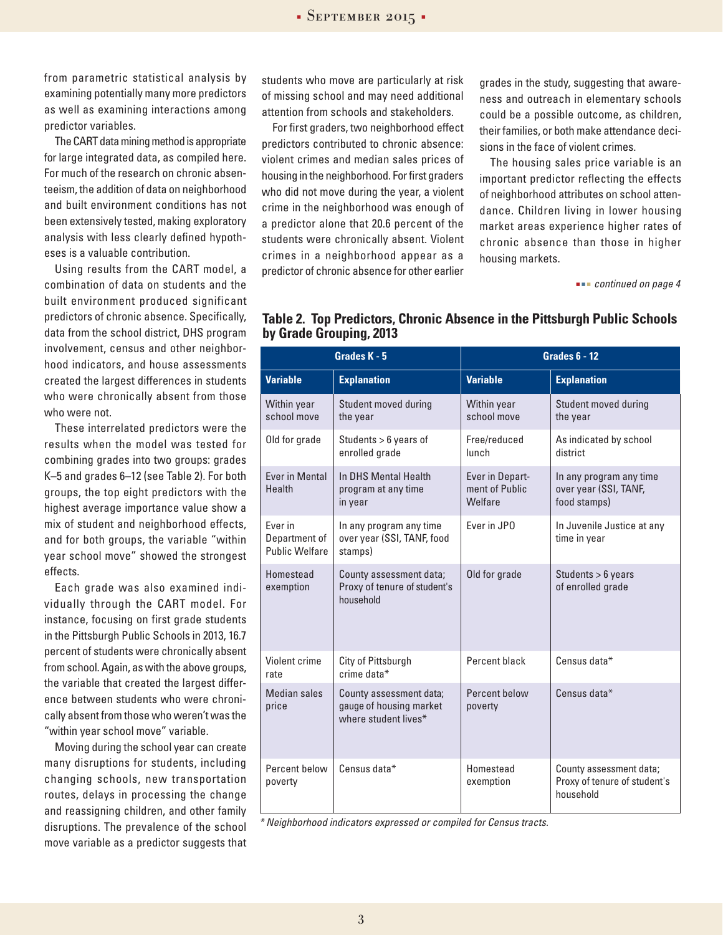$-$  SEPTEMBER 2015 $-$ 

from parametric statistical analysis by examining potentially many more predictors as well as examining interactions among predictor variables.

The CART data mining method is appropriate for large integrated data, as compiled here. For much of the research on chronic absenteeism, the addition of data on neighborhood and built environment conditions has not been extensively tested, making exploratory analysis with less clearly defined hypotheses is a valuable contribution.

Using results from the CART model, a combination of data on students and the built environment produced significant predictors of chronic absence. Specifically, data from the school district, DHS program involvement, census and other neighborhood indicators, and house assessments created the largest differences in students who were chronically absent from those who were not.

These interrelated predictors were the results when the model was tested for combining grades into two groups: grades K–5 and grades 6–12 (see Table 2). For both groups, the top eight predictors with the highest average importance value show a mix of student and neighborhood effects, and for both groups, the variable "within year school move" showed the strongest effects.

Each grade was also examined individually through the CART model. For instance, focusing on first grade students in the Pittsburgh Public Schools in 2013, 16.7 percent of students were chronically absent from school. Again, as with the above groups, the variable that created the largest difference between students who were chronically absent from those who weren't was the "within year school move" variable.

Moving during the school year can create many disruptions for students, including changing schools, new transportation routes, delays in processing the change and reassigning children, and other family disruptions. The prevalence of the school move variable as a predictor suggests that students who move are particularly at risk of missing school and may need additional attention from schools and stakeholders.

For first graders, two neighborhood effect predictors contributed to chronic absence: violent crimes and median sales prices of housing in the neighborhood. For first graders who did not move during the year, a violent crime in the neighborhood was enough of a predictor alone that 20.6 percent of the students were chronically absent. Violent crimes in a neighborhood appear as a predictor of chronic absence for other earlier

grades in the study, suggesting that awareness and outreach in elementary schools could be a possible outcome, as children, their families, or both make attendance decisions in the face of violent crimes.

The housing sales price variable is an important predictor reflecting the effects of neighborhood attributes on school attendance. Children living in lower housing market areas experience higher rates of chronic absence than those in higher housing markets.

 *continued on page 4*

| Grades K - 5                               |                                                                            | <b>Grades 6 - 12</b>                         |                                                                      |  |
|--------------------------------------------|----------------------------------------------------------------------------|----------------------------------------------|----------------------------------------------------------------------|--|
| <b>Variable</b>                            | <b>Explanation</b>                                                         | <b>Variable</b>                              | <b>Explanation</b>                                                   |  |
| Within year<br>school move                 | Student moved during<br>the year                                           | Within year<br>school move                   | Student moved during<br>the year                                     |  |
| Old for grade                              | Students > 6 years of<br>enrolled grade                                    | Free/reduced<br>lunch                        | As indicated by school<br>district                                   |  |
| Ever in Mental<br>Health                   | In DHS Mental Health<br>program at any time<br>in year                     | Ever in Depart-<br>ment of Public<br>Welfare | In any program any time<br>over year (SSI, TANF,<br>food stamps)     |  |
| Ever in<br>Department of<br>Public Welfare | In any program any time<br>over year (SSI, TANF, food<br>stamps)           | Ever in JPO                                  | In Juvenile Justice at any<br>time in year                           |  |
| Homestead<br>exemption                     | County assessment data;<br>Proxy of tenure of student's<br>household       | Old for grade                                | Students > 6 years<br>of enrolled grade                              |  |
| Violent crime<br>rate                      | City of Pittsburgh<br>crime data*                                          | Percent black                                | Census data*                                                         |  |
| <b>Median sales</b><br>price               | County assessment data;<br>gauge of housing market<br>where student lives* | Percent below<br>poverty                     | Census data*                                                         |  |
| Percent below<br>poverty                   | Census data*                                                               | Homestead<br>exemption                       | County assessment data;<br>Proxy of tenure of student's<br>household |  |

### **Table 2. Top Predictors, Chronic Absence in the Pittsburgh Public Schools by Grade Grouping, 2013**

*\* Neighborhood indicators expressed or compiled for Census tracts.*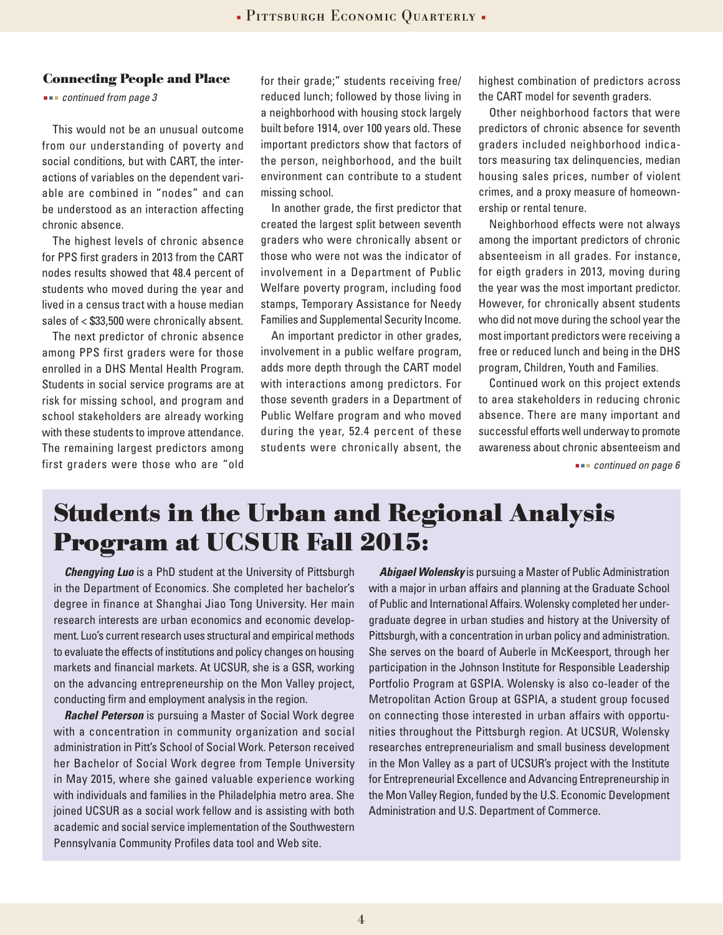#### **Connecting People and Place**

 *continued from page 3*

This would not be an unusual outcome from our understanding of poverty and social conditions, but with CART, the interactions of variables on the dependent variable are combined in "nodes" and can be understood as an interaction affecting chronic absence.

The highest levels of chronic absence for PPS first graders in 2013 from the CART nodes results showed that 48.4 percent of students who moved during the year and lived in a census tract with a house median sales of < \$33,500 were chronically absent.

The next predictor of chronic absence among PPS first graders were for those enrolled in a DHS Mental Health Program. Students in social service programs are at risk for missing school, and program and school stakeholders are already working with these students to improve attendance. The remaining largest predictors among first graders were those who are "old

for their grade;" students receiving free/ reduced lunch; followed by those living in a neighborhood with housing stock largely built before 1914, over 100 years old. These important predictors show that factors of the person, neighborhood, and the built environment can contribute to a student missing school.

In another grade, the first predictor that created the largest split between seventh graders who were chronically absent or those who were not was the indicator of involvement in a Department of Public Welfare poverty program, including food stamps, Temporary Assistance for Needy Families and Supplemental Security Income.

An important predictor in other grades, involvement in a public welfare program, adds more depth through the CART model with interactions among predictors. For those seventh graders in a Department of Public Welfare program and who moved during the year, 52.4 percent of these students were chronically absent, the

highest combination of predictors across the CART model for seventh graders.

Other neighborhood factors that were predictors of chronic absence for seventh graders included neighborhood indicators measuring tax delinquencies, median housing sales prices, number of violent crimes, and a proxy measure of homeownership or rental tenure.

Neighborhood effects were not always among the important predictors of chronic absenteeism in all grades. For instance, for eigth graders in 2013, moving during the year was the most important predictor. However, for chronically absent students who did not move during the school year the most important predictors were receiving a free or reduced lunch and being in the DHS program, Children, Youth and Families.

Continued work on this project extends to area stakeholders in reducing chronic absence. There are many important and successful efforts well underway to promote awareness about chronic absenteeism and

 *continued on page 6*

# **Students in the Urban and Regional Analysis Program at UCSUR Fall 2015:**

*Chengying Luo* is a PhD student at the University of Pittsburgh in the Department of Economics. She completed her bachelor's degree in finance at Shanghai Jiao Tong University. Her main research interests are urban economics and economic development. Luo's current research uses structural and empirical methods to evaluate the effects of institutions and policy changes on housing markets and financial markets. At UCSUR, she is a GSR, working on the advancing entrepreneurship on the Mon Valley project, conducting firm and employment analysis in the region.

*Rachel Peterson* is pursuing a Master of Social Work degree with a concentration in community organization and social administration in Pitt's School of Social Work. Peterson received her Bachelor of Social Work degree from Temple University in May 2015, where she gained valuable experience working with individuals and families in the Philadelphia metro area. She joined UCSUR as a social work fellow and is assisting with both academic and social service implementation of the Southwestern Pennsylvania Community Profiles data tool and Web site.

*Abigael Wolensky* is pursuing a Master of Public Administration with a major in urban affairs and planning at the Graduate School of Public and International Affairs. Wolensky completed her undergraduate degree in urban studies and history at the University of Pittsburgh, with a concentration in urban policy and administration. She serves on the board of Auberle in McKeesport, through her participation in the Johnson Institute for Responsible Leadership Portfolio Program at GSPIA. Wolensky is also co-leader of the Metropolitan Action Group at GSPIA, a student group focused on connecting those interested in urban affairs with opportunities throughout the Pittsburgh region. At UCSUR, Wolensky researches entrepreneurialism and small business development in the Mon Valley as a part of UCSUR's project with the Institute for Entrepreneurial Excellence and Advancing Entrepreneurship in the Mon Valley Region, funded by the U.S. Economic Development Administration and U.S. Department of Commerce.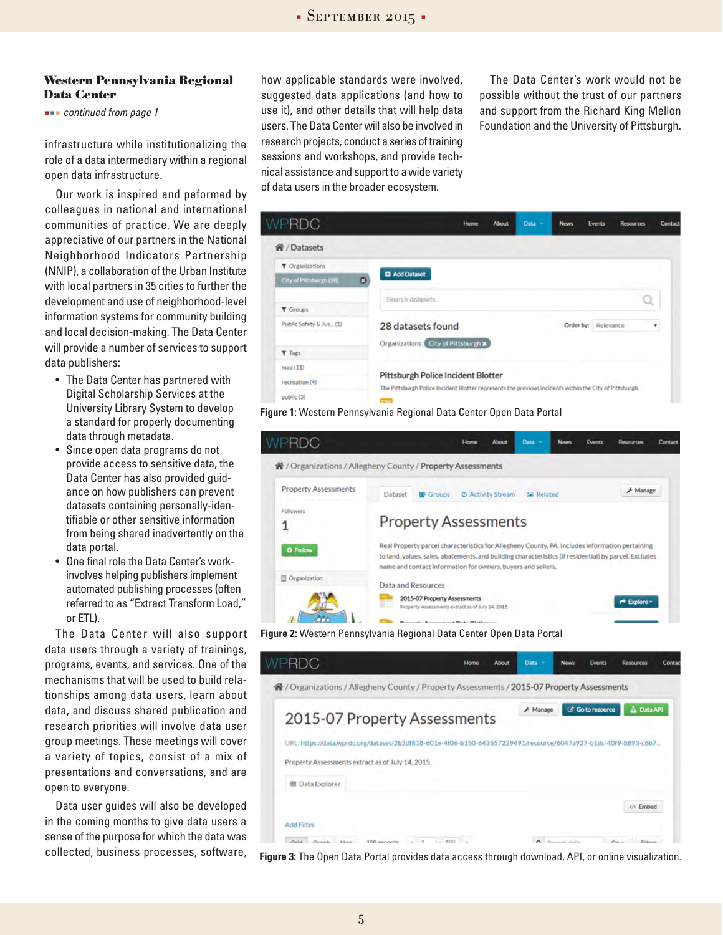#### **Western Pennsylvania Regional Data Center**

 *continued from page 1*

infrastructure while institutionalizing the role of a data intermediary within a regional open data infrastructure.

Our work is inspired and peformed by colleagues in national and international communities of practice. We are deeply appreciative of our partners in the National Neighborhood Indicators Partnership (NNIP), a collaboration of the Urban Institute with local partners in 35 cities to further the development and use of neighborhood-level information systems for community building and local decision-making. The Data Center will provide a number of services to support data publishers:

- The Data Center has partnered with Digital Scholarship Services at the University Library System to develop a standard for properly documenting data through metadata.
- Since open data programs do not provide access to sensitive data, the Data Center has also provided guidance on how publishers can prevent datasets containing personally-identifiable or other sensitive information from being shared inadvertently on the data portal.
- One final role the Data Center's workinvolves helping publishers implement automated publishing processes (often referred to as "Extract Transform Load," or ETL).

The Data Center will also support data users through a variety of trainings, programs, events, and services. One of the mechanisms that will be used to build relationships among data users, learn about data, and discuss shared publication and research priorities will involve data user group meetings. These meetings will cover a variety of topics, consist of a mix of presentations and conversations, and are open to everyone.

Data user guides will also be developed in the coming months to give data users a sense of the purpose for which the data was collected, business processes, software, how applicable standards were involved, suggested data applications (and how to use it), and other details that will help data users. The Data Center will also be involved in research projects, conduct a series of training sessions and workshops, and provide technical assistance and support to a wide variety of data users in the broader ecosystem.

The Data Center's work would not be possible without the trust of our partners and support from the Richard King Mellon Foundation and the University of Pittsburgh.

![](_page_4_Picture_12.jpeg)

**Figure 1:** Western Pennsylvania Regional Data Center Open Data Portal

![](_page_4_Picture_14.jpeg)

**Figure 2:** Western Pennsylvania Regional Data Center Open Data Portal

![](_page_4_Picture_16.jpeg)

**Figure 3:** The Open Data Portal provides data access through download, API, or online visualization.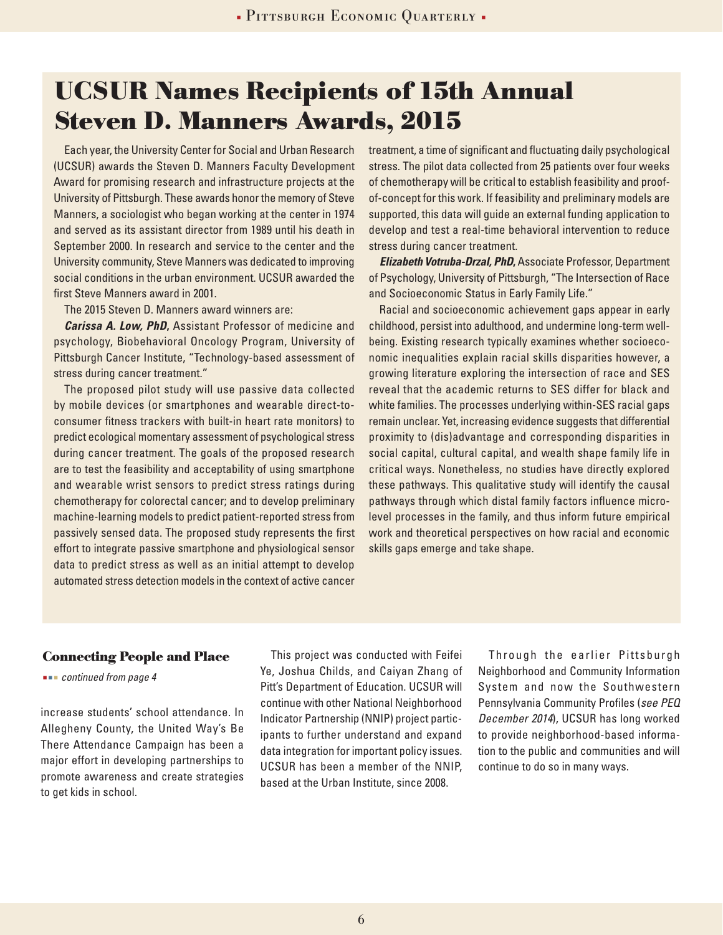# **UCSUR Names Recipients of 15th Annual Steven D. Manners Awards, 2015**

Each year, the University Center for Social and Urban Research (UCSUR) awards the Steven D. Manners Faculty Development Award for promising research and infrastructure projects at the University of Pittsburgh. These awards honor the memory of Steve Manners, a sociologist who began working at the center in 1974 and served as its assistant director from 1989 until his death in September 2000. In research and service to the center and the University community, Steve Manners was dedicated to improving social conditions in the urban environment. UCSUR awarded the first Steve Manners award in 2001.

The 2015 Steven D. Manners award winners are:

*Carissa A. Low, PhD***,** Assistant Professor of medicine and psychology, Biobehavioral Oncology Program, University of Pittsburgh Cancer Institute, "Technology-based assessment of stress during cancer treatment."

The proposed pilot study will use passive data collected by mobile devices (or smartphones and wearable direct-toconsumer fitness trackers with built-in heart rate monitors) to predict ecological momentary assessment of psychological stress during cancer treatment. The goals of the proposed research are to test the feasibility and acceptability of using smartphone and wearable wrist sensors to predict stress ratings during chemotherapy for colorectal cancer; and to develop preliminary machine-learning models to predict patient-reported stress from passively sensed data. The proposed study represents the first effort to integrate passive smartphone and physiological sensor data to predict stress as well as an initial attempt to develop automated stress detection models in the context of active cancer

treatment, a time of significant and fluctuating daily psychological stress. The pilot data collected from 25 patients over four weeks of chemotherapy will be critical to establish feasibility and proofof-concept for this work. If feasibility and preliminary models are supported, this data will guide an external funding application to develop and test a real-time behavioral intervention to reduce stress during cancer treatment.

*Elizabeth Votruba-Drzal, PhD***,** Associate Professor, Department of Psychology, University of Pittsburgh, "The Intersection of Race and Socioeconomic Status in Early Family Life."

Racial and socioeconomic achievement gaps appear in early childhood, persist into adulthood, and undermine long-term wellbeing. Existing research typically examines whether socioeconomic inequalities explain racial skills disparities however, a growing literature exploring the intersection of race and SES reveal that the academic returns to SES differ for black and white families. The processes underlying within-SES racial gaps remain unclear. Yet, increasing evidence suggests that differential proximity to (dis)advantage and corresponding disparities in social capital, cultural capital, and wealth shape family life in critical ways. Nonetheless, no studies have directly explored these pathways. This qualitative study will identify the causal pathways through which distal family factors influence microlevel processes in the family, and thus inform future empirical work and theoretical perspectives on how racial and economic skills gaps emerge and take shape.

### **Connecting People and Place**

 *continued from page 4*

increase students' school attendance. In Allegheny County, the United Way's Be There Attendance Campaign has been a major effort in developing partnerships to promote awareness and create strategies to get kids in school.

This project was conducted with Feifei Ye, Joshua Childs, and Caiyan Zhang of Pitt's Department of Education. UCSUR will continue with other National Neighborhood Indicator Partnership (NNIP) project participants to further understand and expand data integration for important policy issues. UCSUR has been a member of the NNIP, based at the Urban Institute, since 2008.

Through the earlier Pittsburgh Neighborhood and Community Information System and now the Southwestern Pennsylvania Community Profiles (*see PEQ December 2014*), UCSUR has long worked to provide neighborhood-based information to the public and communities and will continue to do so in many ways.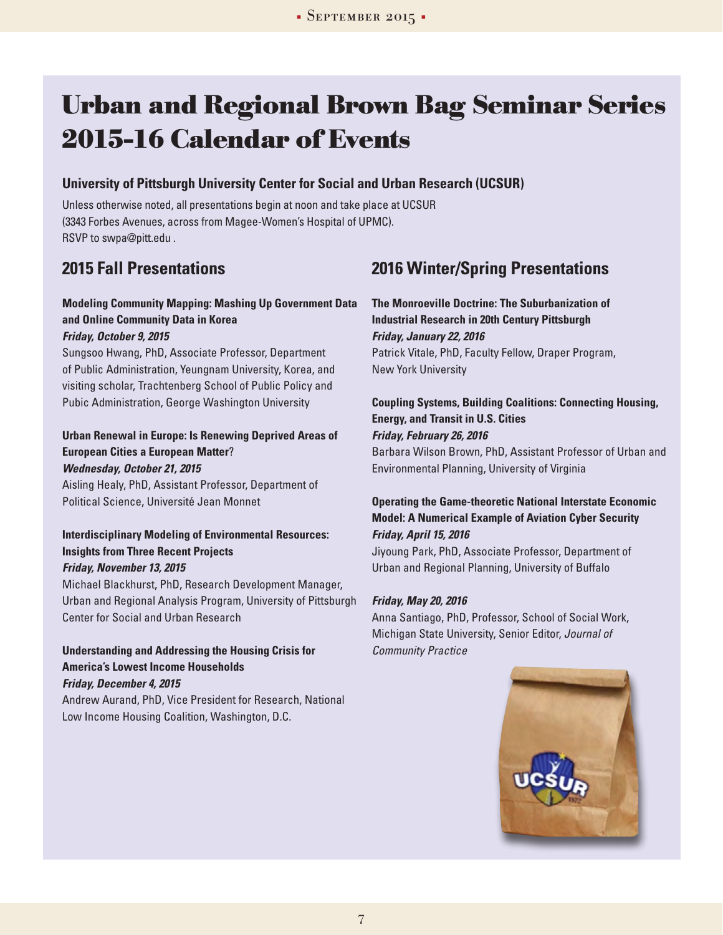# **Urban and Regional Brown Bag Seminar Series 2015-16 Calendar of Events**

## **University of Pittsburgh University Center for Social and Urban Research (UCSUR)**

Unless otherwise noted, all presentations begin at noon and take place at UCSUR (3343 Forbes Avenues, across from Magee-Women's Hospital of UPMC). RSVP to swpa@pitt.edu .

# **2015 Fall Presentations**

## **Modeling Community Mapping: Mashing Up Government Data and Online Community Data in Korea**

### *Friday, October 9, 2015*

Sungsoo Hwang, PhD, Associate Professor, Department of Public Administration, Yeungnam University, Korea, and visiting scholar, Trachtenberg School of Public Policy and Pubic Administration, George Washington University

### **Urban Renewal in Europe: Is Renewing Deprived Areas of European Cities a European Matter**? *Wednesday, October 21, 2015*

Aisling Healy, PhD, Assistant Professor, Department of Political Science, Université Jean Monnet

### **Interdisciplinary Modeling of Environmental Resources: Insights from Three Recent Projects**  *Friday, November 13, 2015*

Michael Blackhurst, PhD, Research Development Manager, Urban and Regional Analysis Program, University of Pittsburgh Center for Social and Urban Research

## **Understanding and Addressing the Housing Crisis for America's Lowest Income Households**

*Friday, December 4, 2015*

Andrew Aurand, PhD, Vice President for Research, National Low Income Housing Coalition, Washington, D.C.

# **2016 Winter/Spring Presentations**

**The Monroeville Doctrine: The Suburbanization of Industrial Research in 20th Century Pittsburgh** *Friday, January 22, 2016* Patrick Vitale, PhD, Faculty Fellow, Draper Program, New York University

## **Coupling Systems, Building Coalitions: Connecting Housing, Energy, and Transit in U.S. Cities** *Friday, February 26, 2016* Barbara Wilson Brown, PhD, Assistant Professor of Urban and Environmental Planning, University of Virginia

## **Operating the Game-theoretic National Interstate Economic Model: A Numerical Example of Aviation Cyber Security**  *Friday, April 15, 2016*

Jiyoung Park, PhD, Associate Professor, Department of Urban and Regional Planning, University of Buffalo

## *Friday, May 20, 2016*

Anna Santiago, PhD, Professor, School of Social Work, Michigan State University, Senior Editor, *Journal of Community Practice*

![](_page_6_Picture_22.jpeg)